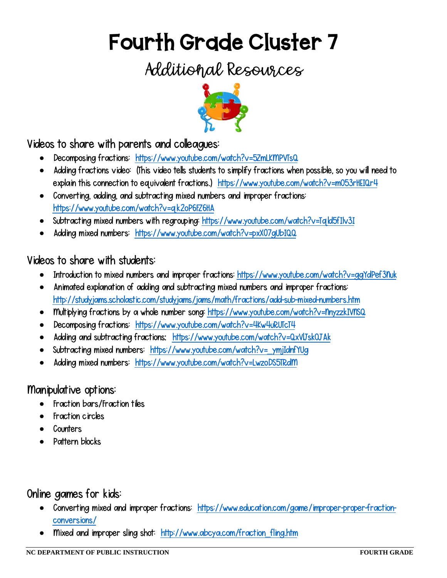# Fourth Grade Cluster 7

## Additional Resources



Videos to share with parents and colleagues:

- Decomposing fractions: <https://www.youtube.com/watch?v=5ZmLKMPVTsQ>
- Adding fractions video: (This video tells students to simplify fractions when possible, so you will need to explain this connection to equivalent fractions.) <https://www.youtube.com/watch?v=mO53rHEIQr4>
- Converting, adding, and subtracting mixed numbers and improper fractions: <https://www.youtube.com/watch?v=qk2oP6FZ6HA>
- Subtracting mixed numbers with regrouping: https://www.youtube.com/watch?v=Tqld5fIlv3I
- Adding mixed numbers: <https://www.youtube.com/watch?v=pxX07gUbIQQ>

#### Videos to share with students:

- Introduction to mixed numbers and improper fractions: <https://www.youtube.com/watch?v=ggYdPef3Nuk>
- Animated explanation of adding and subtracting mixed numbers and improper fractions: <http://studyjams.scholastic.com/studyjams/jams/math/fractions/add-sub-mixed-numbers.htm>
- Multiplying fractions by a whole number song: https://www.youtube.com/watch?v=nnyzzkIVnSQ
- Decomposing fractions: <https://www.youtube.com/watch?v=4Kw4uRUTcT4>
- Adding and subtracting fractions: <https://www.youtube.com/watch?v=QxVlJskOJAk>
- Subtracting mixed numbers: https://www.youtube.com/watch?v= ymjIdnfYUg
- Adding mixed numbers: <https://www.youtube.com/watch?v=LwzoDS5TRdM>

#### Manipulative options:

- Fraction bars/Fraction tiles
- Fraction circles
- Counters
- Pattern blocks

### Online games for kids:

- Converting mixed and improper fractions: [https://www.education.com/game/improper-proper-fraction](https://www.education.com/game/improper-proper-fraction-conversions/)[conversions/](https://www.education.com/game/improper-proper-fraction-conversions/)
- Mixed and improper sling shot: [http://www.abcya.com/fraction\\_fling.htm](http://www.abcya.com/fraction_fling.htm)